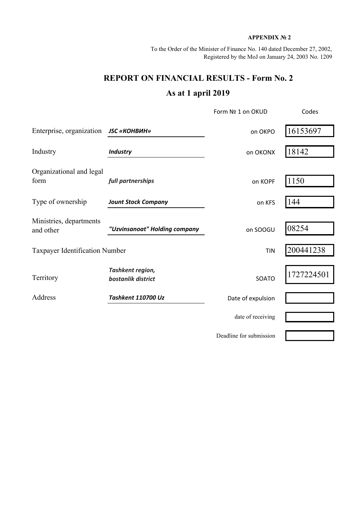## **APPENDIX № 2**

To the Order of the Minister of Finance No. 140 dated December 27, 2002, Registered by the MoJ on January 24, 2003 No. 1209

## **REPORT ON FINANCIAL RESULTS - Form No. 2 As at 1 april 2019**

|                                              |                                        | Form Nº 1 on OKUD       | Codes      |  |
|----------------------------------------------|----------------------------------------|-------------------------|------------|--|
| Enterprise, organization <b>JSC «КОНВИН»</b> |                                        | on OKPO                 | 16153697   |  |
| Industry                                     | <b>Industry</b>                        | on OKONX                | 18142      |  |
| Organizational and legal<br>form             | full partnerships                      | on KOPF                 | 1150       |  |
| Type of ownership                            | <b>Jount Stock Company</b>             | on KFS                  | 144        |  |
| Ministries, departments<br>and other         | "Uzvinsanoat" Holding company          | on SOOGU                | 08254      |  |
| <b>Taxpayer Identification Number</b>        |                                        | <b>TIN</b>              | 200441238  |  |
| Territory                                    | Tashkent region,<br>bostanlik district | SOATO                   | 1727224501 |  |
| Address                                      | Tashkent 110700 Uz                     | Date of expulsion       |            |  |
|                                              |                                        | date of receiving       |            |  |
|                                              |                                        | Deadline for submission |            |  |